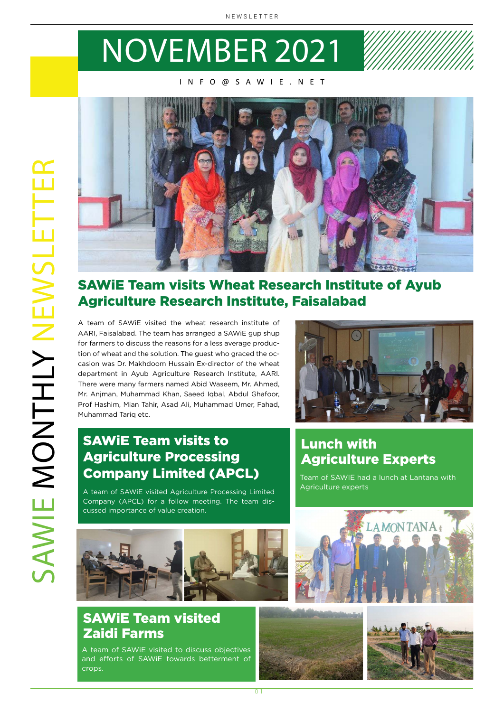# NOVEMBER 2021

### INFO@SAWIE.NET



## SAWiE Team visits Wheat Research Institute of Ayub Agriculture Research Institute, Faisalabad

A team of SAWiE visited the wheat research institute of AARI, Faisalabad. The team has arranged a SAWiE gup shup for farmers to discuss the reasons for a less average production of wheat and the solution. The guest who graced the occasion was Dr. Makhdoom Hussain Ex-director of the wheat department in Ayub Agriculture Research Institute, AARI. There were many farmers named Abid Waseem, Mr. Ahmed, Mr. Anjman, Muhammad Khan, Saeed Iqbal, Abdul Ghafoor, Prof Hashim, Mian Tahir, Asad Ali, Muhammad Umer, Fahad, Muhammad Tariq etc.



# SAWiE Team visits to Agriculture Processing Company Limited (APCL)

A team of SAWiE visited Agriculture Processing Limited Company (APCL) for a follow meeting. The team discussed importance of value creation.

# Lunch with Agriculture Experts

Team of SAWIE had a lunch at Lantana with Agriculture experts



# SAWiE Team visited Zaidi Farms

A team of SAWiE visited to discuss objectives and efforts of SAWiE towards betterment of crops.